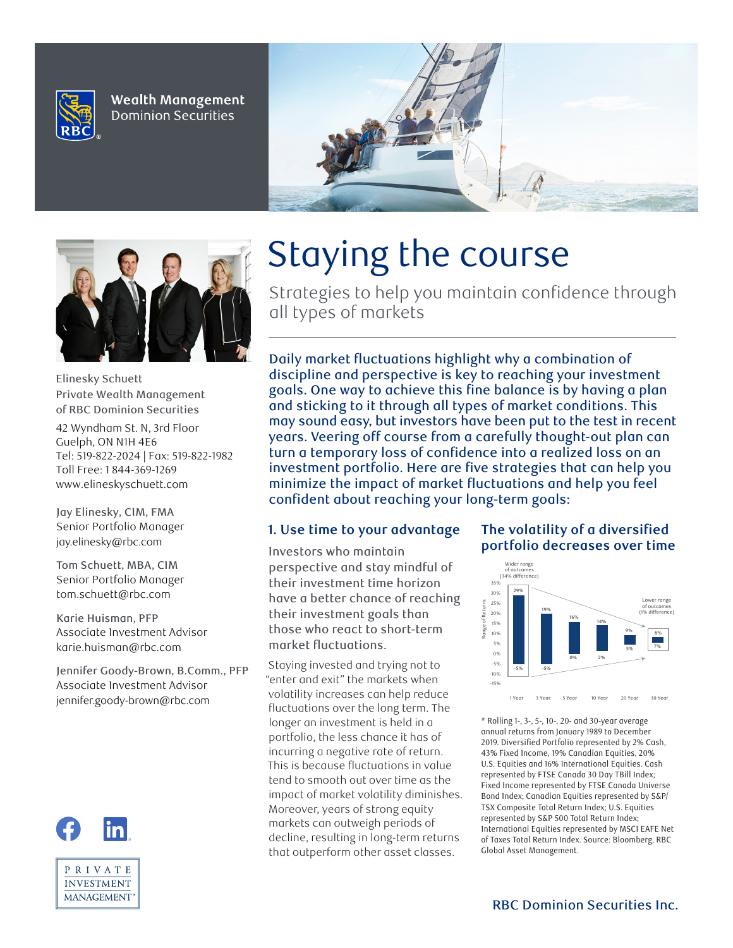

Wealth Management **Dominion Securities** 





Elinesky Schuett Private Wealth Management of RBC Dominion Securities

42 Wyndham St. N, 3rd Floor Guelph, ON N1H 4E6 Tel: 519-822-2024 | Fax: 519-822-1982 Toll Free: 1 844-369-1269 www.elineskyschuett.com

**Jay Elinesky, CIM, FMA Senior Portfolio Manager jay.elinesky@rbc.com**

**Tom Schuett, MBA, CIM Senior Portfolio Manager tom.schuett@rbc.com**

**Karie Huisman, PFP Associate Investment Advisor karie.huisman@rbc.com**

**Jennifer Goody-Brown, B.Comm., PFP Associate Investment Advisor jennifer.goody-brown@rbc.com**



# Staying the course

Strategies to help you maintain confidence through all types of markets

Daily market fluctuations highlight why a combination of discipline and perspective is key to reaching your investment goals. One way to achieve this fine balance is by having a plan and sticking to it through all types of market conditions. This may sound easy, but investors have been put to the test in recent years. Veering off course from a carefully thought-out plan can turn a temporary loss of confidence into a realized loss on an investment portfolio. Here are five strategies that can help you minimize the impact of market fluctuations and help you feel confident about reaching your long-term goals:

## **1. Use time to your advantage**

Investors who maintain perspective and stay mindful of their investment time horizon have a better chance of reaching their investment goals than those who react to short-term market fluctuations.

Staying invested and trying not to "enter and exit" the markets when volatility increases can help reduce fluctuations over the long term. The longer an investment is held in a portfolio, the less chance it has of incurring a negative rate of return. This is because fluctuations in value tend to smooth out over time as the impact of market volatility diminishes. Moreover, years of strong equity markets can outweigh periods of decline, resulting in long-term returns that outperform other asset classes.

# **The volatility of a diversified portfolio decreases over time**



\* Rolling 1-, 3-, 5-, 10-, 20- and 30-year average annual returns from January 1989 to December 2019. Diversified Portfolio represented by 2% Cash, 43% Fixed Income, 19% Canadian Equities, 20% U.S. Equities and 16% International Equities. Cash represented by FTSE Canada 30 Day TBill Index; Fixed Income represented by FTSE Canada Universe Bond Index; Canadian Equities represented by S&P/ TSX Composite Total Return Index; U.S. Equities represented by S&P 500 Total Return Index; International Equities represented by MSCI EAFE Net of Taxes Total Return Index. Source: Bloomberg, RBC Global Asset Management.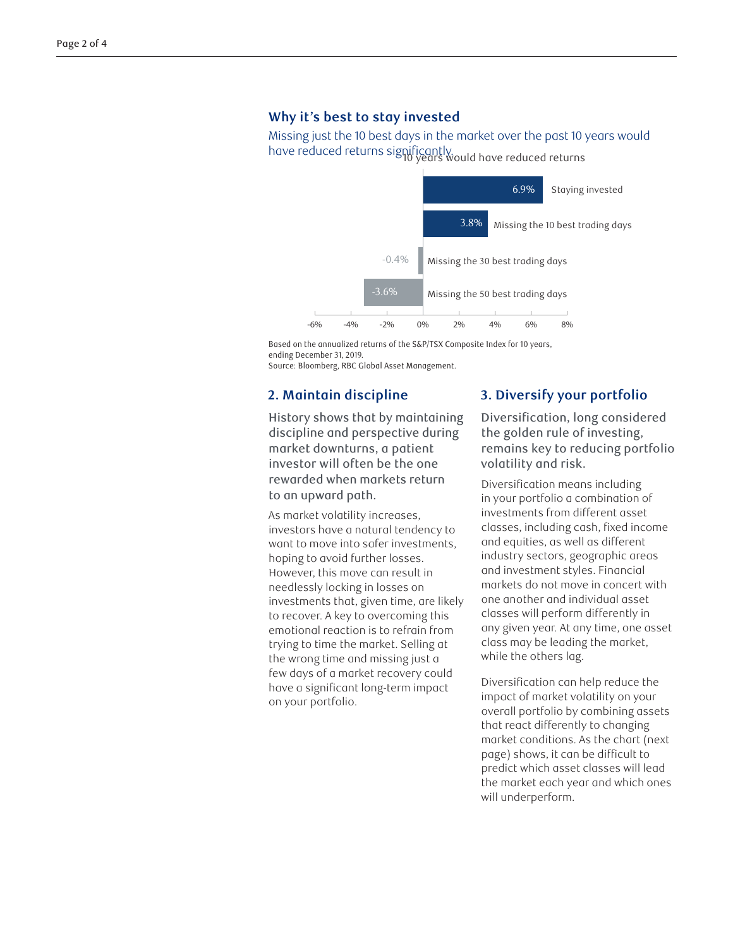#### **Why it's best to stay invested**

Missing just the 10 best days in the market over the past 10 years would have reduced returns significantly. 10 years would have reduced returns  $\frac{1}{\sqrt{1-\frac{1}{\sqrt{1-\frac{1}{\sqrt{1-\frac{1}{\sqrt{1-\frac{1}{\sqrt{1-\frac{1}{\sqrt{1-\frac{1}{\sqrt{1-\frac{1}{\sqrt{1-\frac{1}{\sqrt{1-\frac{1}{\sqrt{1-\frac{1}{\sqrt{1-\frac{1}{\sqrt{1-\frac{1}{\sqrt{1-\frac{1}{\sqrt{1-\frac{1}{\sqrt{1-\frac{1}{\sqrt{1-\frac{1}{\sqrt{1-\frac{1}{\sqrt{1-\frac{1}{\sqrt{1-\frac{1}{\sqrt{1-\frac{1}{\sqrt{1-\frac{1}{\sqrt{1-\frac{1}{\sqrt{1-\frac{1}{\sqrt{1-\frac{1$ 



Based on the annualized returns of the S&P/TSX Composite Index for 10 years, ending December 31, 2019.

Source: Bloomberg, RBC Global Asset Management.

# **2. Maintain discipline**

History shows that by maintaining discipline and perspective during market downturns, a patient investor will often be the one rewarded when markets return to an upward path.

As market volatility increases, investors have a natural tendency to want to move into safer investments, hoping to avoid further losses. However, this move can result in needlessly locking in losses on investments that, given time, are likely to recover. A key to overcoming this emotional reaction is to refrain from trying to time the market. Selling at the wrong time and missing just a few days of a market recovery could have a significant long-term impact on your portfolio.

### **3. Diversify your portfolio**

Diversification, long considered the golden rule of investing, remains key to reducing portfolio volatility and risk.

Diversification means including in your portfolio a combination of investments from different asset classes, including cash, fixed income and equities, as well as different industry sectors, geographic areas and investment styles. Financial markets do not move in concert with one another and individual asset classes will perform differently in any given year. At any time, one asset class may be leading the market, while the others lag.

Diversification can help reduce the impact of market volatility on your overall portfolio by combining assets that react differently to changing market conditions. As the chart (next page) shows, it can be difficult to predict which asset classes will lead the market each year and which ones will underperform.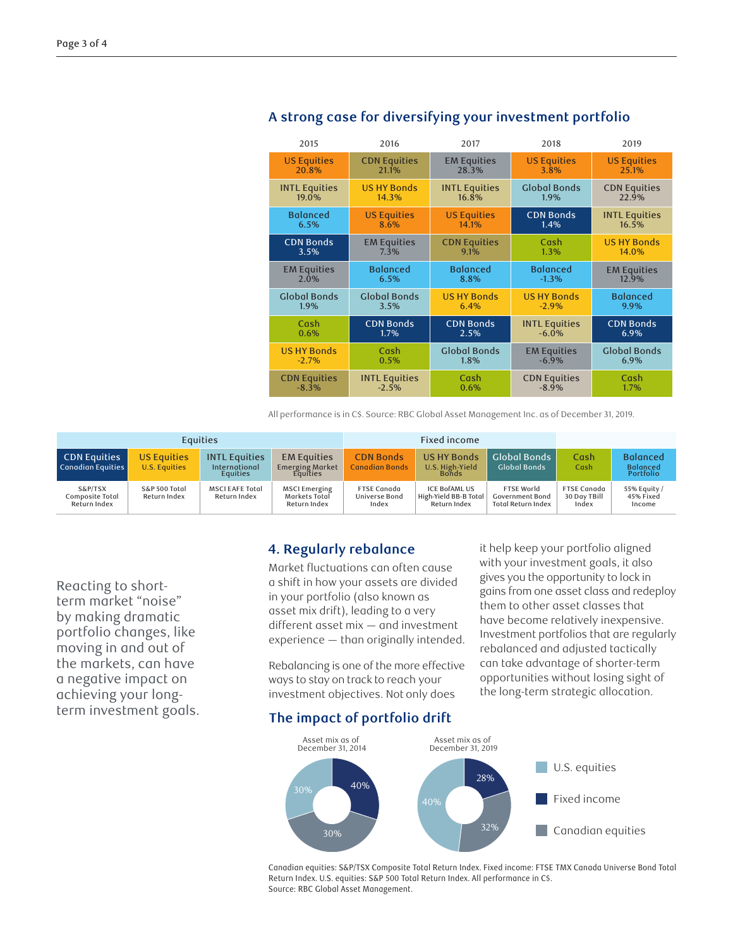| 2015                 | 2016                 | 2017                 | 2018                 | 2019                 |  |
|----------------------|----------------------|----------------------|----------------------|----------------------|--|
| <b>US Equities</b>   | <b>CDN Equities</b>  | <b>EM Equities</b>   | <b>US Equities</b>   | <b>US Equities</b>   |  |
| 20.8%                | 21.1%                | 28.3%                | 3.8%                 | 25.1%                |  |
| <b>INTL Equities</b> | <b>US HY Bonds</b>   | <b>INTL Equities</b> | <b>Global Bonds</b>  | <b>CDN Equities</b>  |  |
| 19.0%                | 14.3%                | 16.8%                | 1.9%                 | 22.9%                |  |
| <b>Balanced</b>      | <b>US Equities</b>   | <b>US Equities</b>   | <b>CDN Bonds</b>     | <b>INTL Equities</b> |  |
| 6.5%                 | 8.6%                 | 14.1%                | 1.4%                 | 16.5%                |  |
| <b>CDN Bonds</b>     | <b>EM Equities</b>   | <b>CDN Equities</b>  | Cash                 | <b>US HY Bonds</b>   |  |
| 3.5%                 | 7.3%                 | 9.1%                 | 1.3%                 | 14.0%                |  |
| <b>EM Equities</b>   | <b>Balanced</b>      | <b>Balanced</b>      | <b>Balanced</b>      | <b>EM Equities</b>   |  |
| 2.0%                 | 6.5%                 | 8.8%                 | $-1.3%$              | 12.9%                |  |
| <b>Global Bonds</b>  | <b>Global Bonds</b>  | <b>US HY Bonds</b>   | <b>US HY Bonds</b>   | <b>Balanced</b>      |  |
| 1.9%                 | 3.5%                 | 6.4%                 | $-2.9%$              | 9.9%                 |  |
| Cash                 | <b>CDN Bonds</b>     | <b>CDN Bonds</b>     | <b>INTL Equities</b> | <b>CDN Bonds</b>     |  |
| 0.6%                 | 1.7%                 | 2.5%                 | $-6.0%$              | 6.9%                 |  |
| <b>US HY Bonds</b>   | Cash                 | <b>Global Bonds</b>  | <b>EM Equities</b>   | <b>Global Bonds</b>  |  |
| $-2.7%$              | 0.5%                 | 1.8%                 | $-6.9%$              | 6.9%                 |  |
| <b>CDN Equities</b>  | <b>INTL Equities</b> | Cash                 | <b>CDN Equities</b>  | Cash                 |  |
| $-8.3%$              | $-2.5%$              | 0.6%                 | $-8.9%$              | 1.7%                 |  |

# **A strong case for diversifying your investment portfolio**

All performance is in C\$. Source: RBC Global Asset Management Inc. as of December 31, 2019.

| <b>Equities</b>                            |                                     |                                                   | Fixed income                                             |                                              |                                                               |                                                                          |                                             |                                                        |
|--------------------------------------------|-------------------------------------|---------------------------------------------------|----------------------------------------------------------|----------------------------------------------|---------------------------------------------------------------|--------------------------------------------------------------------------|---------------------------------------------|--------------------------------------------------------|
| <b>CDN Equities</b><br>Canadian Equities   | <b>US Equities</b><br>U.S. Equities | <b>INTL Equities</b><br>International<br>Equities | <b>EM Equities</b><br><b>Emerging Market</b><br>Equities | <b>CDN Bonds</b><br><b>Canadian Bonds</b>    | <b>US HY Bonds</b><br>U.S. High-Yield<br><b>Bonds</b>         | <b>Global Bonds</b><br><b>Global Bonds</b>                               | Cash<br>Cash                                | <b>Balanced</b><br><b>Balanced</b><br><b>Portfolio</b> |
| S&P/TSX<br>Composite Total<br>Return Index | S&P 500 Total<br>Return Index       | <b>MSCI EAFE Total</b><br>Return Index            | <b>MSCI Emerging</b><br>Markets Total<br>Return Index    | <b>FTSE Canada</b><br>Universe Bond<br>Index | <b>ICE BOFAML US</b><br>High-Yield BB-B Total<br>Return Index | <b>FTSE World</b><br><b>Government Bond</b><br><b>Total Return Index</b> | <b>FTSE Canada</b><br>30 Day TBill<br>Index | 55% Equity /<br>45% Fixed<br>Income                    |

Reacting to shortterm market "noise" by making dramatic portfolio changes, like moving in and out of the markets, can have a negative impact on achieving your longterm investment goals.

## **4. Regularly rebalance**

Market fluctuations can often cause a shift in how your assets are divided in your portfolio (also known as asset mix drift), leading to a very different asset mix — and investment experience — than originally intended.

Rebalancing is one of the more effective ways to stay on track to reach your investment objectives. Not only does

it help keep your portfolio aligned with your investment goals, it also gives you the opportunity to lock in gains from one asset class and redeploy them to other asset classes that have become relatively inexpensive. Investment portfolios that are regularly rebalanced and adjusted tactically can take advantage of shorter-term opportunities without losing sight of the long-term strategic allocation.

# **The impact of portfolio drift**



Canadian equities: S&P/TSX Composite Total Return Index. Fixed income: FTSE TMX Canada Universe Bond Total Return Index. U.S. equities: S&P 500 Total Return Index. All performance in C\$. Source: RBC Global Asset Management.